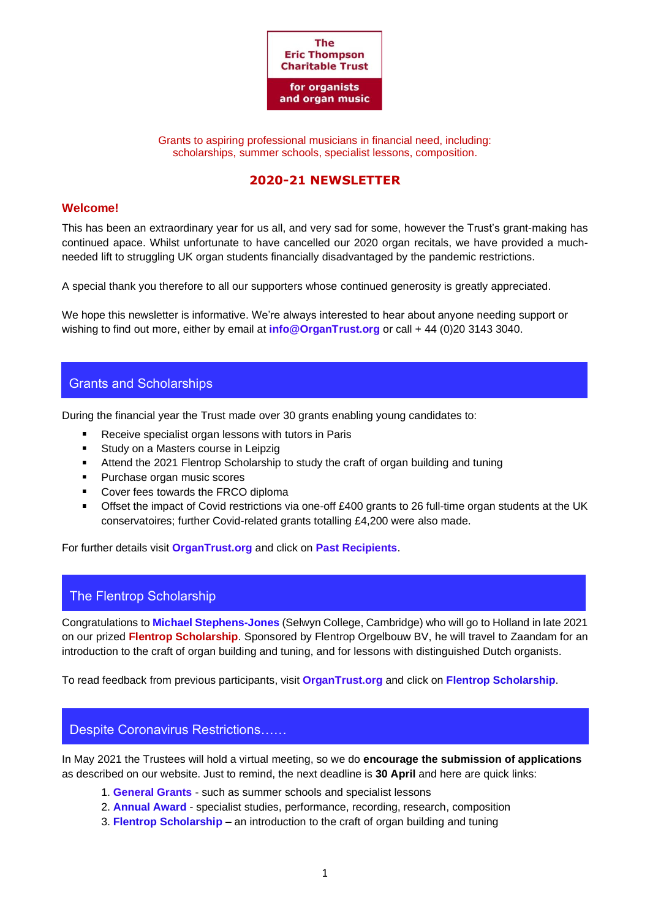

Grants to aspiring professional musicians in financial need, including: scholarships, summer schools, specialist lessons, composition.

# **2020-21 NEWSLETTER**

# **Welcome!**

This has been an extraordinary year for us all, and very sad for some, however the Trust's grant-making has continued apace. Whilst unfortunate to have cancelled our 2020 organ recitals, we have provided a muchneeded lift to struggling UK organ students financially disadvantaged by the pandemic restrictions.

A special thank you therefore to all our supporters whose continued generosity is greatly appreciated.

We hope this newsletter is informative. We're always interested to hear about anyone needing support or wishing to find out more, either by email at **[info@OrganTrust.org](mailto:info@OrganTrust.org)** or call + 44 (0)20 3143 3040.

# Grants and Scholarships

During the financial year the Trust made over 30 grants enabling young candidates to:

- Receive specialist organ lessons with tutors in Paris
- $\blacksquare$ Study on a Masters course in Leipzig
- $\blacksquare$ Attend the 2021 Flentrop Scholarship to study the craft of organ building and tuning
- Purchase organ music scores  $\blacksquare$
- Cover fees towards the FRCO diploma  $\blacksquare$
- Offset the impact of Covid restrictions via one-off £400 grants to 26 full-time organ students at the UK conservatoires; further Covid-related grants totalling £4,200 were also made.

For further details visit **[OrganTrust.org](http://www.organtrust.org/)** and click on **[Past Recipients](https://royalphilharmonicsociety.org.uk/performers/instrumentalists/thompson/past-ett-1)**.

# The Flentrop Scholarship

Congratulations to **[Michael Stephens-Jones](https://organistsonline.org/bloomsbury/ms-j.html)** (Selwyn College, Cambridge) who will go to Holland in late 2021 on our prized **Flentrop Scholarship**. Sponsored by Flentrop Orgelbouw BV, he will travel to Zaandam for an introduction to the craft of organ building and tuning, and for lessons with distinguished Dutch organists.

To read feedback from previous participants, visit **[OrganTrust.org](http://www.organtrust.org/)** and click on **[Flentrop Scholarship](https://royalphilharmonicsociety.org.uk/assets/files/Reports_2019_PottSlater.pdf)**.

### Despite Coronavirus Restrictions……

In May 2021 the Trustees will hold a virtual meeting, so we do **encourage the submission of applications** as described on our website. Just to remind, the next deadline is **30 April** and here are quick links:

- 1. **[General Grants](https://royalphilharmonicsociety.org.uk/performers/instrumentalists/thompson/eric-thompson-trust-grants)** such as summer schools and specialist lessons
- 2. **[Annual Award](https://royalphilharmonicsociety.org.uk/performers/instrumentalists/thompson/annual-award1)** specialist studies, performance, recording, research, composition
- 3. **[Flentrop Scholarship](https://royalphilharmonicsociety.org.uk/performers/instrumentalists/thompson/flentrop)** an introduction to the craft of organ building and tuning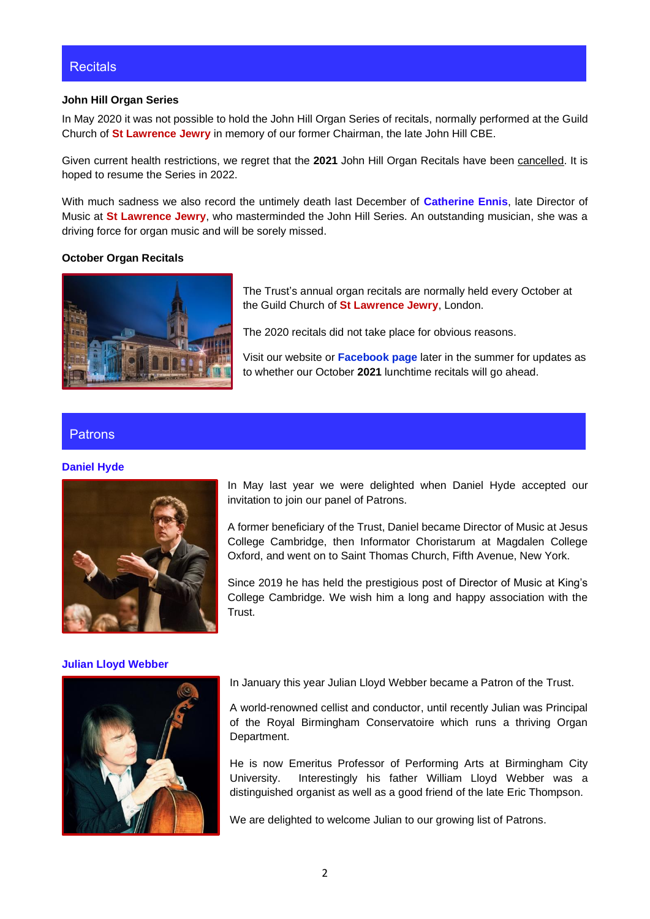## **Recitals**

#### **John Hill Organ Series**

In May 2020 it was not possible to hold the John Hill Organ Series of recitals, normally performed at the Guild Church of **St Lawrence Jewry** in memory of our former Chairman, the late John Hill CBE.

Given current health restrictions, we regret that the **2021** John Hill Organ Recitals have been cancelled. It is hoped to resume the Series in 2022.

With much sadness we also record the untimely death last December of **[Catherine Ennis](https://www.telegraph.co.uk/obituaries/2021/01/08/catherine-ennis-dynamic-organist-director-music-st-lawrence/)**, late Director of Music at **St Lawrence Jewry**, who masterminded the John Hill Series. An outstanding musician, she was a driving force for organ music and will be sorely missed.

### **October Organ Recitals**



The Trust's annual organ recitals are normally held every October at the Guild Church of **St Lawrence Jewry**, London.

The 2020 recitals did not take place for obvious reasons.

Visit our website or **[Facebook page](https://www.facebook.com/OrganTrust/)** later in the summer for updates as to whether our October **2021** lunchtime recitals will go ahead.

### Patrons

#### **[Daniel Hyde](https://www.danielhyde.co.uk/biography)**



### **[Julian Lloyd Webber](https://www.julianlloydwebber.com/biography/)**



In May last year we were delighted when Daniel Hyde accepted our invitation to join our panel of Patrons.

A former beneficiary of the Trust, Daniel became Director of Music at Jesus College Cambridge, then Informator Choristarum at Magdalen College Oxford, and went on to Saint Thomas Church, Fifth Avenue, New York.

Since 2019 he has held the prestigious post of Director of Music at King's College Cambridge. We wish him a long and happy association with the Trust.

In January this year Julian Lloyd Webber became a Patron of the Trust.

A world-renowned cellist and conductor, until recently Julian was Principal of the Royal Birmingham Conservatoire which runs a thriving Organ Department.

He is now Emeritus Professor of Performing Arts at Birmingham City University. Interestingly his father William Lloyd Webber was a distinguished organist as well as a good friend of the late Eric Thompson.

We are delighted to welcome Julian to our growing list of Patrons.